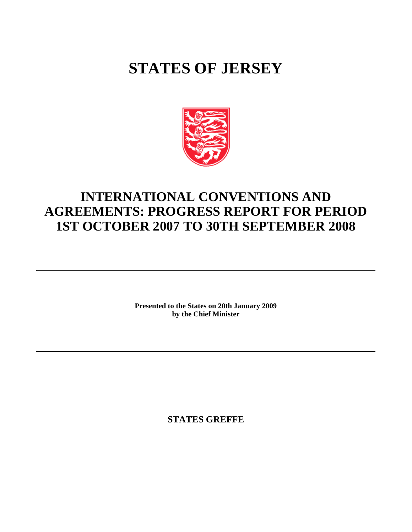# **STATES OF JERSEY**



## **INTERNATIONAL CONVENTIONS AND AGREEMENTS: PROGRESS REPORT FOR PERIOD 1ST OCTOBER 2007 TO 30TH SEPTEMBER 2008**

**Presented to the States on 20th January 2009 by the Chief Minister**

**STATES GREFFE**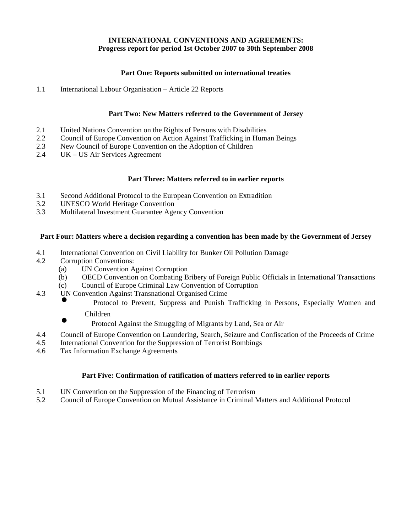## **INTERNATIONAL CONVENTIONS AND AGREEMENTS: Progress report for period 1st October 2007 to 30th September 2008**

## **Part One: Reports submitted on international treaties**

1.1 International Labour Organisation – Article 22 Reports

## **Part Two: New Matters referred to the Government of Jersey**

- 2.1 United Nations Convention on the Rights of Persons with Disabilities<br>2.2 Council of Europe Convention on Action Against Trafficking in Huma
- 2.2 Council of Europe Convention on Action Against Trafficking in Human Beings
- 2.3 New Council of Europe Convention on the Adoption of Children
- 2.4 UK US Air Services Agreement

## **Part Three: Matters referred to in earlier reports**

- 3.1 Second Additional Protocol to the European Convention on Extradition<br>3.2 UNESCO World Heritage Convention
- 3.2 UNESCO World Heritage Convention<br>3.3 Multilateral Investment Guarantee Age
- Multilateral Investment Guarantee Agency Convention

## **Part Four: Matters where a decision regarding a convention has been made by the Government of Jersey**

- 4.1 International Convention on Civil Liability for Bunker Oil Pollution Damage
- 4.2 Corruption Conventions:
	- (a) UN Convention Against Corruption
	- (b) OECD Convention on Combating Bribery of Foreign Public Officials in International Transactions
	- (c) Council of Europe Criminal Law Convention of Corruption
- 4.3 UN Convention Against Transnational Organised Crime
	- Protocol to Prevent, Suppress and Punish Trafficking in Persons, Especially Women and Children
	-
	- Protocol Against the Smuggling of Migrants by Land, Sea or Air
- 4.4 Council of Europe Convention on Laundering, Search, Seizure and Confiscation of the Proceeds of Crime
- 4.5 International Convention for the Suppression of Terrorist Bombings
- 4.6 Tax Information Exchange Agreements

## **Part Five: Confirmation of ratification of matters referred to in earlier reports**

- 5.1 UN Convention on the Suppression of the Financing of Terrorism
- 5.2 Council of Europe Convention on Mutual Assistance in Criminal Matters and Additional Protocol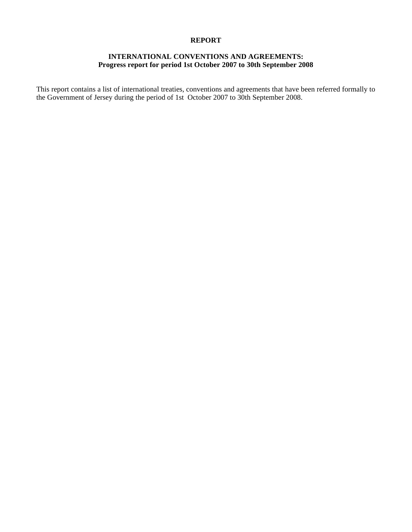### **REPORT**

## **INTERNATIONAL CONVENTIONS AND AGREEMENTS: Progress report for period 1st October 2007 to 30th September 2008**

This report contains a list of international treaties, conventions and agreements that have been referred formally to the Government of Jersey during the period of 1st October 2007 to 30th September 2008.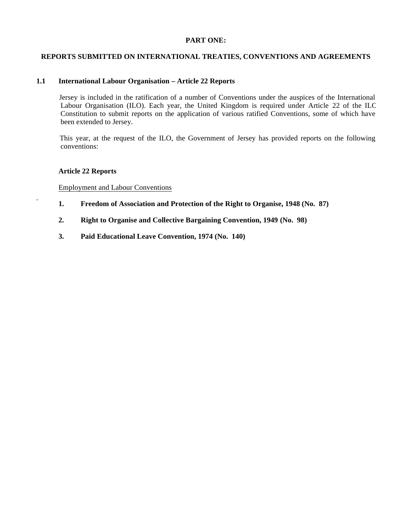## **PART ONE:**

## **REPORTS SUBMITTED ON INTERNATIONAL TREATIES, CONVENTIONS AND AGREEMENTS**

## **1.1 International Labour Organisation – Article 22 Reports**

 Jersey is included in the ratification of a number of Conventions under the auspices of the International Labour Organisation (ILO). Each year, the United Kingdom is required under Article 22 of the ILO Constitution to submit reports on the application of various ratified Conventions, some of which have been extended to Jersey.

 This year, at the request of the ILO, the Government of Jersey has provided reports on the following conventions:

#### **Article 22 Reports**

Employment and Labour Conventions

- **1. Freedom of Association and Protection of the Right to Organise, 1948 (No. 87)**
	- **2. Right to Organise and Collective Bargaining Convention, 1949 (No. 98)**
	- **3. Paid Educational Leave Convention, 1974 (No. 140)**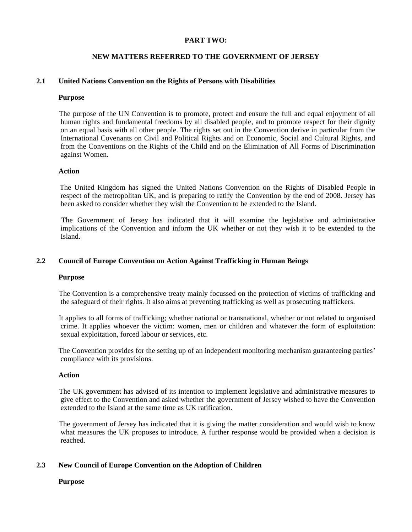## **PART TWO:**

## **NEW MATTERS REFERRED TO THE GOVERNMENT OF JERSEY**

## **2.1 United Nations Convention on the Rights of Persons with Disabilities**

#### **Purpose**

 The purpose of the UN Convention is to promote, protect and ensure the full and equal enjoyment of all human rights and fundamental freedoms by all disabled people, and to promote respect for their dignity on an equal basis with all other people. The rights set out in the Convention derive in particular from the International Covenants on Civil and Political Rights and on Economic, Social and Cultural Rights, and from the Conventions on the Rights of the Child and on the Elimination of All Forms of Discrimination against Women.

#### **Action**

 The United Kingdom has signed the United Nations Convention on the Rights of Disabled People in respect of the metropolitan UK, and is preparing to ratify the Convention by the end of 2008. Jersey has been asked to consider whether they wish the Convention to be extended to the Island.

 The Government of Jersey has indicated that it will examine the legislative and administrative implications of the Convention and inform the UK whether or not they wish it to be extended to the Island.

## **2.2 Council of Europe Convention on Action Against Trafficking in Human Beings**

#### **Purpose**

 The Convention is a comprehensive treaty mainly focussed on the protection of victims of trafficking and the safeguard of their rights. It also aims at preventing trafficking as well as prosecuting traffickers.

 It applies to all forms of trafficking; whether national or transnational, whether or not related to organised crime. It applies whoever the victim: women, men or children and whatever the form of exploitation: sexual exploitation, forced labour or services, etc.

 The Convention provides for the setting up of an independent monitoring mechanism guaranteeing parties' compliance with its provisions.

#### **Action**

 The UK government has advised of its intention to implement legislative and administrative measures to give effect to the Convention and asked whether the government of Jersey wished to have the Convention extended to the Island at the same time as UK ratification.

 The government of Jersey has indicated that it is giving the matter consideration and would wish to know what measures the UK proposes to introduce. A further response would be provided when a decision is reached.

#### **2.3 New Council of Europe Convention on the Adoption of Children**

#### **Purpose**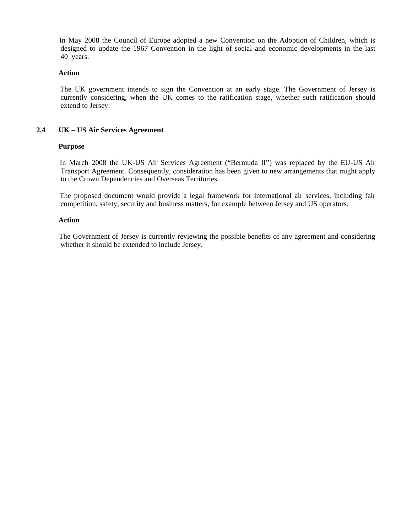In May 2008 the Council of Europe adopted a new Convention on the Adoption of Children, which is designed to update the 1967 Convention in the light of social and economic developments in the last 40 years.

#### **Action**

 The UK government intends to sign the Convention at an early stage. The Government of Jersey is currently considering, when the UK comes to the ratification stage, whether such ratification should extend to Jersey.

## **2.4 UK – US Air Services Agreement**

## **Purpose**

 In March 2008 the UK-US Air Services Agreement ("Bermuda II") was replaced by the EU-US Air Transport Agreement. Consequently, consideration has been given to new arrangements that might apply to the Crown Dependencies and Overseas Territories.

 The proposed document would provide a legal framework for international air services, including fair competition, safety, security and business matters, for example between Jersey and US operators.

## **Action**

 The Government of Jersey is currently reviewing the possible benefits of any agreement and considering whether it should be extended to include Jersey.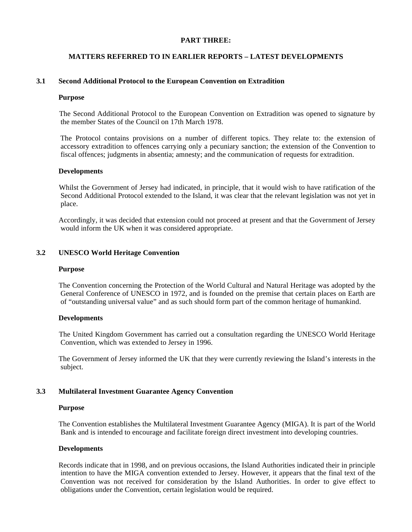## **PART THREE:**

## **MATTERS REFERRED TO IN EARLIER REPORTS – LATEST DEVELOPMENTS**

## **3.1 Second Additional Protocol to the European Convention on Extradition**

#### **Purpose**

 The Second Additional Protocol to the European Convention on Extradition was opened to signature by the member States of the Council on 17th March 1978.

 The Protocol contains provisions on a number of different topics. They relate to: the extension of accessory extradition to offences carrying only a pecuniary sanction; the extension of the Convention to fiscal offences; judgments in absentia; amnesty; and the communication of requests for extradition.

#### **Developments**

 Whilst the Government of Jersey had indicated, in principle, that it would wish to have ratification of the Second Additional Protocol extended to the Island, it was clear that the relevant legislation was not yet in place.

 Accordingly, it was decided that extension could not proceed at present and that the Government of Jersey would inform the UK when it was considered appropriate.

## **3.2 UNESCO World Heritage Convention**

#### **Purpose**

 The Convention concerning the Protection of the World Cultural and Natural Heritage was adopted by the General Conference of UNESCO in 1972, and is founded on the premise that certain places on Earth are of "outstanding universal value" and as such should form part of the common heritage of humankind.

## **Developments**

 The United Kingdom Government has carried out a consultation regarding the UNESCO World Heritage Convention, which was extended to Jersey in 1996.

 The Government of Jersey informed the UK that they were currently reviewing the Island's interests in the subject.

## **3.3 Multilateral Investment Guarantee Agency Convention**

#### **Purpose**

 The Convention establishes the Multilateral Investment Guarantee Agency (MIGA). It is part of the World Bank and is intended to encourage and facilitate foreign direct investment into developing countries.

#### **Developments**

 Records indicate that in 1998, and on previous occasions, the Island Authorities indicated their in principle intention to have the MIGA convention extended to Jersey. However, it appears that the final text of the Convention was not received for consideration by the Island Authorities. In order to give effect to obligations under the Convention, certain legislation would be required.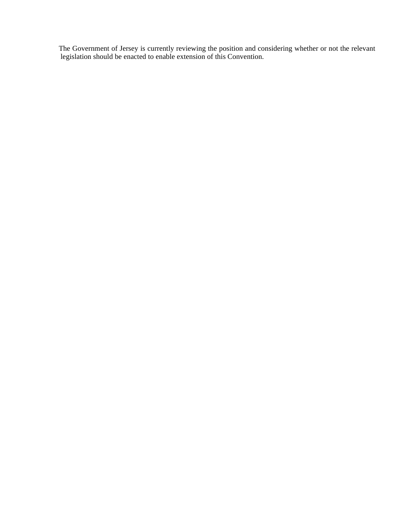The Government of Jersey is currently reviewing the position and considering whether or not the relevant legislation should be enacted to enable extension of this Convention.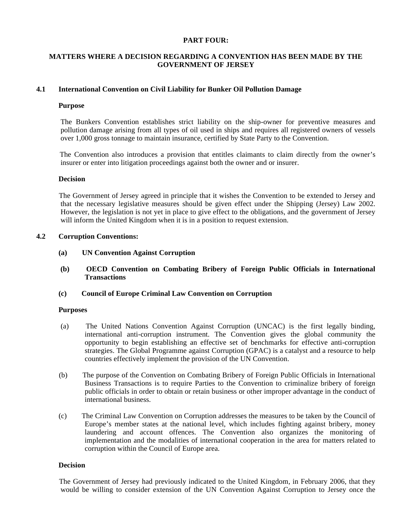## **PART FOUR:**

## **MATTERS WHERE A DECISION REGARDING A CONVENTION HAS BEEN MADE BY THE GOVERNMENT OF JERSEY**

## **4.1 International Convention on Civil Liability for Bunker Oil Pollution Damage**

#### **Purpose**

 The Bunkers Convention establishes strict liability on the ship-owner for preventive measures and pollution damage arising from all types of oil used in ships and requires all registered owners of vessels over 1,000 gross tonnage to maintain insurance, certified by State Party to the Convention.

 The Convention also introduces a provision that entitles claimants to claim directly from the owner's insurer or enter into litigation proceedings against both the owner and or insurer.

#### **Decision**

 The Government of Jersey agreed in principle that it wishes the Convention to be extended to Jersey and that the necessary legislative measures should be given effect under the Shipping (Jersey) Law 2002. However, the legislation is not yet in place to give effect to the obligations, and the government of Jersey will inform the United Kingdom when it is in a position to request extension.

## **4.2 Corruption Conventions:**

- **(a) UN Convention Against Corruption**
- **(b) OECD Convention on Combating Bribery of Foreign Public Officials in International Transactions**

## **(c) Council of Europe Criminal Law Convention on Corruption**

#### **Purposes**

- (a) The United Nations Convention Against Corruption (UNCAC) is the first legally binding, international anti-corruption instrument. The Convention gives the global community the opportunity to begin establishing an effective set of benchmarks for effective anti-corruption strategies. The Global Programme against Corruption (GPAC) is a catalyst and a resource to help countries effectively implement the provision of the UN Convention.
- (b) The purpose of the Convention on Combating Bribery of Foreign Public Officials in International Business Transactions is to require Parties to the Convention to criminalize bribery of foreign public officials in order to obtain or retain business or other improper advantage in the conduct of international business.
- (c) The Criminal Law Convention on Corruption addresses the measures to be taken by the Council of Europe's member states at the national level, which includes fighting against bribery, money laundering and account offences. The Convention also organizes the monitoring of implementation and the modalities of international cooperation in the area for matters related to corruption within the Council of Europe area.

#### **Decision**

 The Government of Jersey had previously indicated to the United Kingdom, in February 2006, that they would be willing to consider extension of the UN Convention Against Corruption to Jersey once the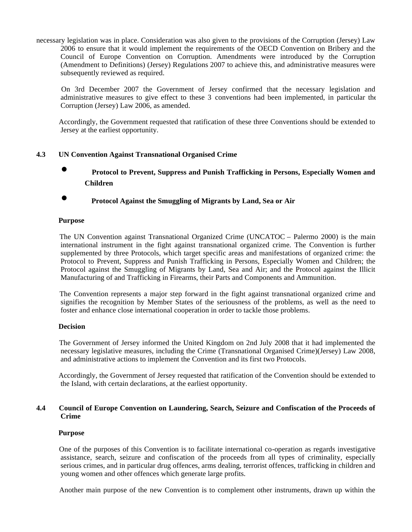necessary legislation was in place. Consideration was also given to the provisions of the Corruption (Jersey) Law 2006 to ensure that it would implement the requirements of the OECD Convention on Bribery and the Council of Europe Convention on Corruption. Amendments were introduced by the Corruption (Amendment to Definitions) (Jersey) Regulations 2007 to achieve this, and administrative measures were subsequently reviewed as required.

 On 3rd December 2007 the Government of Jersey confirmed that the necessary legislation and administrative measures to give effect to these 3 conventions had been implemented, in particular the Corruption (Jersey) Law 2006, as amended.

 Accordingly, the Government requested that ratification of these three Conventions should be extended to Jersey at the earliest opportunity.

## **4.3 UN Convention Against Transnational Organised Crime**

- **Protocol to Prevent, Suppress and Punish Trafficking in Persons, Especially Women and Children**
- **Protocol Against the Smuggling of Migrants by Land, Sea or Air**

## **Purpose**

 The UN Convention against Transnational Organized Crime (UNCATOC – Palermo 2000) is the main international instrument in the fight against transnational organized crime. The Convention is further supplemented by three Protocols, which target specific areas and manifestations of organized crime: the Protocol to Prevent, Suppress and Punish Trafficking in Persons, Especially Women and Children; the Protocol against the Smuggling of Migrants by Land, Sea and Air; and the Protocol against the Illicit Manufacturing of and Trafficking in Firearms, their Parts and Components and Ammunition.

 The Convention represents a major step forward in the fight against transnational organized crime and signifies the recognition by Member States of the seriousness of the problems, as well as the need to foster and enhance close international cooperation in order to tackle those problems.

#### **Decision**

 The Government of Jersey informed the United Kingdom on 2nd July 2008 that it had implemented the necessary legislative measures, including the Crime (Transnational Organised Crime)(Jersey) Law 2008, and administrative actions to implement the Convention and its first two Protocols.

 Accordingly, the Government of Jersey requested that ratification of the Convention should be extended to the Island, with certain declarations, at the earliest opportunity.

## **4.4 Council of Europe Convention on Laundering, Search, Seizure and Confiscation of the Proceeds of Crime**

## **Purpose**

 One of the purposes of this Convention is to facilitate international co-operation as regards investigative assistance, search, seizure and confiscation of the proceeds from all types of criminality, especially serious crimes, and in particular drug offences, arms dealing, terrorist offences, trafficking in children and young women and other offences which generate large profits.

Another main purpose of the new Convention is to complement other instruments, drawn up within the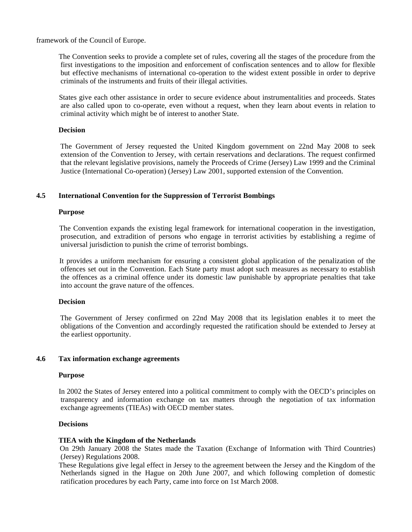framework of the Council of Europe.

 The Convention seeks to provide a complete set of rules, covering all the stages of the procedure from the first investigations to the imposition and enforcement of confiscation sentences and to allow for flexible but effective mechanisms of international co-operation to the widest extent possible in order to deprive criminals of the instruments and fruits of their illegal activities.

 States give each other assistance in order to secure evidence about instrumentalities and proceeds. States are also called upon to co-operate, even without a request, when they learn about events in relation to criminal activity which might be of interest to another State.

#### **Decision**

 The Government of Jersey requested the United Kingdom government on 22nd May 2008 to seek extension of the Convention to Jersey, with certain reservations and declarations. The request confirmed that the relevant legislative provisions, namely the Proceeds of Crime (Jersey) Law 1999 and the Criminal Justice (International Co-operation) (Jersey) Law 2001, supported extension of the Convention.

## **4.5 International Convention for the Suppression of Terrorist Bombings**

#### **Purpose**

 The Convention expands the existing legal framework for international cooperation in the investigation, prosecution, and extradition of persons who engage in terrorist activities by establishing a regime of universal jurisdiction to punish the crime of terrorist bombings.

 It provides a uniform mechanism for ensuring a consistent global application of the penalization of the offences set out in the Convention. Each State party must adopt such measures as necessary to establish the offences as a criminal offence under its domestic law punishable by appropriate penalties that take into account the grave nature of the offences.

#### **Decision**

 The Government of Jersey confirmed on 22nd May 2008 that its legislation enables it to meet the obligations of the Convention and accordingly requested the ratification should be extended to Jersey at the earliest opportunity.

### **4.6 Tax information exchange agreements**

#### **Purpose**

 In 2002 the States of Jersey entered into a political commitment to comply with the OECD's principles on transparency and information exchange on tax matters through the negotiation of tax information exchange agreements (TIEAs) with OECD member states.

#### **Decisions**

#### **TIEA with the Kingdom of the Netherlands**

 On 29th January 2008 the States made the Taxation (Exchange of Information with Third Countries) (Jersey) Regulations 2008.

 These Regulations give legal effect in Jersey to the agreement between the Jersey and the Kingdom of the Netherlands signed in the Hague on 20th June 2007, and which following completion of domestic ratification procedures by each Party, came into force on 1st March 2008.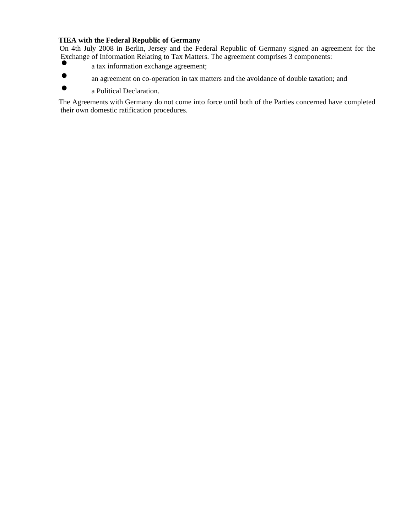## **TIEA with the Federal Republic of Germany**

 On 4th July 2008 in Berlin, Jersey and the Federal Republic of Germany signed an agreement for the Exchange of Information Relating to Tax Matters. The agreement comprises 3 components:

- a tax information exchange agreement;
- an agreement on co-operation in tax matters and the avoidance of double taxation; and
- a Political Declaration.

 The Agreements with Germany do not come into force until both of the Parties concerned have completed their own domestic ratification procedures.